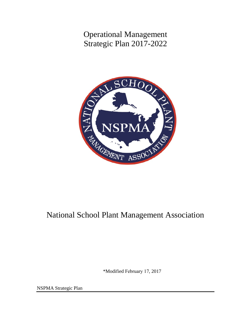Operational Management Strategic Plan 2017-2022



# National School Plant Management Association

\*Modified February 17, 2017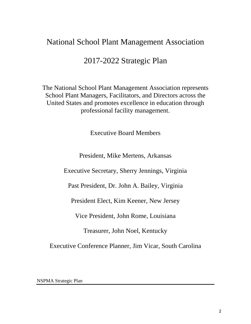# National School Plant Management Association

# 2017-2022 Strategic Plan

The National School Plant Management Association represents School Plant Managers, Facilitators, and Directors across the United States and promotes excellence in education through professional facility management.

Executive Board Members

President, Mike Mertens, Arkansas

Executive Secretary, Sherry Jennings, Virginia

Past President, Dr. John A. Bailey, Virginia

President Elect, Kim Keener, New Jersey

Vice President, John Rome, Louisiana

Treasurer, John Noel, Kentucky

Executive Conference Planner, Jim Vicar, South Carolina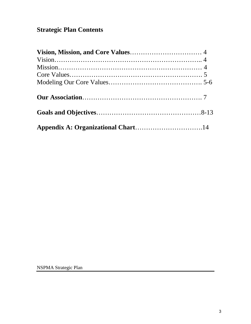# **Strategic Plan Contents**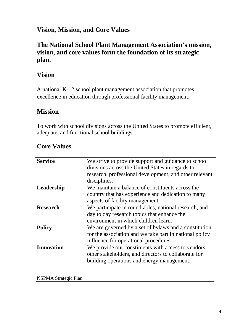## **Vision, Mission, and Core Values**

# **The National School Plant Management Association's mission, vision, and core values form the foundation of its strategic plan.**

# **Vision**

A national K-12 school plant management association that promotes excellence in education through professional facility management.

## **Mission**

To work with school divisions across the United States to promote efficient, adequate, and functional school buildings.

## **Core Values**

| <b>Service</b>    | We strive to provide support and guidance to school     |  |  |  |  |  |  |  |
|-------------------|---------------------------------------------------------|--|--|--|--|--|--|--|
|                   | divisions across the United States in regards to        |  |  |  |  |  |  |  |
|                   | research, professional development, and other relevant  |  |  |  |  |  |  |  |
|                   | disciplines.                                            |  |  |  |  |  |  |  |
| Leadership        | We maintain a balance of constituents across the        |  |  |  |  |  |  |  |
|                   | country that has experience and dedication to many      |  |  |  |  |  |  |  |
|                   | aspects of facility management.                         |  |  |  |  |  |  |  |
| <b>Research</b>   | We participate in roundtables, national research, and   |  |  |  |  |  |  |  |
|                   | day to day research topics that enhance the             |  |  |  |  |  |  |  |
|                   | environment in which children learn.                    |  |  |  |  |  |  |  |
| <b>Policy</b>     | We are governed by a set of bylaws and a constitution   |  |  |  |  |  |  |  |
|                   | for the association and we take part in national policy |  |  |  |  |  |  |  |
|                   | influence for operational procedures.                   |  |  |  |  |  |  |  |
| <b>Innovation</b> | We provide our constituents with access to vendors,     |  |  |  |  |  |  |  |
|                   | other stakeholders, and directors to collaborate for    |  |  |  |  |  |  |  |
|                   | building operations and energy management.              |  |  |  |  |  |  |  |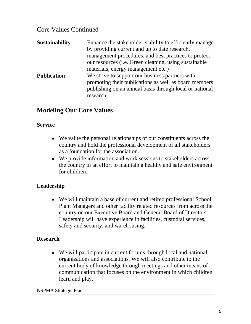# Core Values Continued

| <b>Sustainability</b> | Enhance the stakeholder's ability to efficiently manage |  |  |  |  |  |  |
|-----------------------|---------------------------------------------------------|--|--|--|--|--|--|
|                       | by providing current and up to date research,           |  |  |  |  |  |  |
|                       | management procedures, and best practices to protect    |  |  |  |  |  |  |
|                       | our resources (i.e. Green cleaning, using sustainable   |  |  |  |  |  |  |
|                       | materials, energy management etc.)                      |  |  |  |  |  |  |
| <b>Publication</b>    | We strive to support our business partners with         |  |  |  |  |  |  |
|                       | promoting their publications as well as board members   |  |  |  |  |  |  |
|                       | publishing on an annual basis through local or national |  |  |  |  |  |  |
|                       | research.                                               |  |  |  |  |  |  |

# **Modeling Our Core Values**

### **Service**

- We value the personal relationships of our constituents across the country and hold the professional development of all stakeholders as a foundation for the association.
- We provide information and work sessions to stakeholders across the country in an effort to maintain a healthy and safe environment for children.

### **Leadership**

• We will maintain a base of current and retired professional School Plant Managers and other facility related resources from across the country on our Executive Board and General Board of Directors. Leadership will have experience in facilities, custodial services, safety and security, and warehousing.

### **Research**

• We will participate in current forums through local and national organizations and associations. We will also contribute to the current body of knowledge through meetings and other means of communication that focuses on the environment in which children learn and play.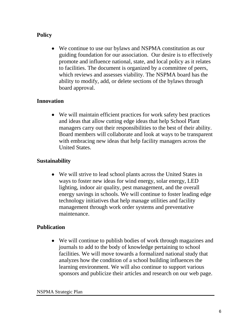## **Policy**

• We continue to use our bylaws and NSPMA constitution as our guiding foundation for our association. Our desire is to effectively promote and influence national, state, and local policy as it relates to facilities. The document is organized by a committee of peers, which reviews and assesses viability. The NSPMA board has the ability to modify, add, or delete sections of the bylaws through board approval.

### **Innovation**

• We will maintain efficient practices for work safety best practices and ideas that allow cutting edge ideas that help School Plant managers carry out their responsibilities to the best of their ability. Board members will collaborate and look at ways to be transparent with embracing new ideas that help facility managers across the United States.

### **Sustainability**

• We will strive to lead school plants across the United States in ways to foster new ideas for wind energy, solar energy, LED lighting, indoor air quality, pest management, and the overall energy savings in schools. We will continue to foster leading edge technology initiatives that help manage utilities and facility management through work order systems and preventative maintenance.

### **Publication**

• We will continue to publish bodies of work through magazines and journals to add to the body of knowledge pertaining to school facilities. We will move towards a formalized national study that analyzes how the condition of a school building influences the learning environment. We will also continue to support various sponsors and publicize their articles and research on our web page.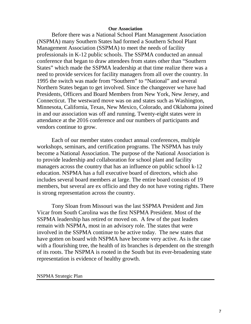#### **Our Association**

Before there was a National School Plant Management Association (NSPMA) many Southern States had formed a Southern School Plant Management Association (SSPMA) to meet the needs of facility professionals in K-12 public schools. The SSPMA conducted an annual conference that began to draw attendees from states other than "Southern States" which made the SSPMA leadership at that time realize there was a need to provide services for facility managers from all over the country. In 1995 the switch was made from "Southern" to "National" and several Northern States began to get involved. Since the changeover we have had Presidents, Officers and Board Members from New York, New Jersey, and Connecticut. The westward move was on and states such as Washington, Minnesota, California, Texas, New Mexico, Colorado, and Oklahoma joined in and our association was off and running. Twenty-eight states were in attendance at the 2016 conference and our numbers of participants and vendors continue to grow.

Each of our member states conduct annual conferences, multiple workshops, seminars, and certification programs. The NSPMA has truly become a National Association. The purpose of the National Association is to provide leadership and collaboration for school plant and facility managers across the country that has an influence on public school k-12 education. NSPMA has a full executive board of directors, which also includes several board members at large. The entire board consists of 19 members, but several are ex officio and they do not have voting rights. There is strong representation across the country.

Tony Sloan from Missouri was the last SSPMA President and Jim Vicar from South Carolina was the first NSPMA President. Most of the SSPMA leadership has retired or moved on. A few of the past leaders remain with NSPMA, most in an advisory role. The states that were involved in the SSPMA continue to be active today. The new states that have gotten on board with NSPMA have become very active. As is the case with a flourishing tree, the health of its branches is dependent on the strength of its roots. The NSPMA is rooted in the South but its ever-broadening state representation is evidence of healthy growth.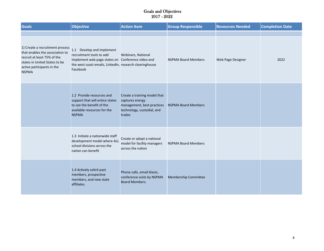| <b>Goals</b>                                                                                                                                                                     | <b>Objective</b>                                                                                                                                                                  | <b>Action Item</b>                                                                                                    | <b>Group Responsible</b>    | <b>Resources Needed</b> | <b>Completion Date</b> |
|----------------------------------------------------------------------------------------------------------------------------------------------------------------------------------|-----------------------------------------------------------------------------------------------------------------------------------------------------------------------------------|-----------------------------------------------------------------------------------------------------------------------|-----------------------------|-------------------------|------------------------|
|                                                                                                                                                                                  |                                                                                                                                                                                   |                                                                                                                       |                             |                         |                        |
| 1) Create a recruitment process<br>that enables the association to<br>recruit at least 75% of the<br>states in United States to be<br>active participants in the<br><b>NSPMA</b> | 1.1 Develop and implement<br>recruitment tools to add<br>Implement web page states on Conference video and<br>the west coast emails, LinkedIn, research clearinghouse<br>Facebook | Webinars, National                                                                                                    | <b>NSPMA Board Members</b>  | Web Page Designer       | 2022                   |
|                                                                                                                                                                                  | 1.2 Provide resources and<br>support that will entice states<br>to see the benefit of the<br>available resources for the<br><b>NSPMA</b>                                          | Create a training model that<br>captures energy<br>management, best practices<br>technology, custodial, and<br>trades | <b>NSPMA Board Members</b>  |                         |                        |
|                                                                                                                                                                                  | 1.3 Initiate a nationwide staff<br>development model where ALL<br>school divisions across the<br>nation can benefit                                                               | Create or adopt a national<br>model for facility managers<br>across the nation                                        | <b>NSPMA Board Members</b>  |                         |                        |
|                                                                                                                                                                                  | 1.4 Actively solicit past<br>members, prospective<br>members, and new state<br>affiliates.                                                                                        | Phone calls, email blasts,<br>conference visits by NSPMA<br><b>Board Members.</b>                                     | <b>Membership Committee</b> |                         |                        |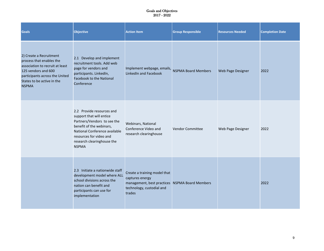| <b>Goals</b>                                                                                                                                                                                  | <b>Objective</b>                                                                                                                                                                                                           | <b>Action Item</b>                                                                                                                       | <b>Group Responsible</b>   | <b>Resources Needed</b> | <b>Completion Date</b> |
|-----------------------------------------------------------------------------------------------------------------------------------------------------------------------------------------------|----------------------------------------------------------------------------------------------------------------------------------------------------------------------------------------------------------------------------|------------------------------------------------------------------------------------------------------------------------------------------|----------------------------|-------------------------|------------------------|
| 2) Create a Recruitment<br>process that enables the<br>association to recruit at least<br>125 vendors and 600<br>participants across the United<br>States to be active in the<br><b>NSPMA</b> | 2.1 Develop and implement<br>recruitment tools. Add web<br>page for vendors and<br>participants. LinkedIn,<br>Facebook to the National<br>Conference                                                                       | Implement webpage, emails,<br>LinkedIn and Facebook                                                                                      | <b>NSPMA Board Members</b> | Web Page Designer       | 2022                   |
|                                                                                                                                                                                               | 2.2 Provide resources and<br>support that will entice<br>Partners/Vendors to see the<br>benefit of the webinars,<br>National Conference available<br>resources for video and<br>research clearinghouse the<br><b>NSPMA</b> | Webinars, National<br>Conference Video and<br>research clearinghouse                                                                     | <b>Vendor Committee</b>    | Web Page Designer       | 2022                   |
|                                                                                                                                                                                               | 2.3 Initiate a nationwide staff<br>development model where ALL<br>school divisions across the<br>nation can benefit and<br>participants can use for<br>implementation                                                      | Create a training model that<br>captures energy<br>management, best practices NSPMA Board Members<br>technology, custodial and<br>trades |                            |                         | 2022                   |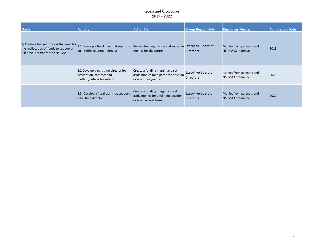| <b>Goals</b>                                                                                                          | <b>Activity</b>                                                                                     | <b>Action Item</b>                                                                                 | <b>Group Responsible</b>                      | <b>Resources Needed</b>                             | <b>Completion Date</b> |
|-----------------------------------------------------------------------------------------------------------------------|-----------------------------------------------------------------------------------------------------|----------------------------------------------------------------------------------------------------|-----------------------------------------------|-----------------------------------------------------|------------------------|
| 3) Create a budget process that enables<br>the reallocation of funds to support a<br>full time Director for the NSPMA | 3.1 Develop a fiscal plan that supports<br>an interim volunteer director                            | Begin a funding margin and set aside Executive Board of<br>monies for the future                   | <b>Directors</b>                              | Monies from partners and<br><b>NSPMA Conference</b> | 2018                   |
|                                                                                                                       | 3.2 Develop a part time director job<br>description, contract and<br>method/criteria for selection. | Create a funding margin and set<br>aside monies for a part time position<br>over a three year term | <b>Executive Board of</b><br><b>Directors</b> | Monies from partners and<br><b>NSPMA Conference</b> | 2020                   |
|                                                                                                                       | 3.3 Develop a fiscal plan that supports<br>a full time director                                     | Create a funding margin and set<br>aside monies for a full time position<br>over a five year term  | <b>Executive Board of</b><br><b>Directors</b> | Monies from partners and<br><b>NSPMA Conference</b> | 2022                   |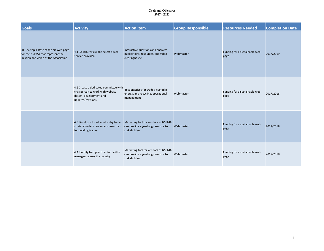| <b>Goals</b>                                                                                                        | <b>Activity</b>                                                                                                                                       | <b>Action Item</b>                                                                        | <b>Group Responsible</b> | <b>Resources Needed</b>               | <b>Completion Date</b> |
|---------------------------------------------------------------------------------------------------------------------|-------------------------------------------------------------------------------------------------------------------------------------------------------|-------------------------------------------------------------------------------------------|--------------------------|---------------------------------------|------------------------|
| 4) Develop a state of the art web page<br>for the NSPMA that represent the<br>mission and vision of the Association | Interactive questions and answers<br>4.1 Solicit, review and select a web<br>publications, resources, and video<br>service provider.<br>clearinghouse |                                                                                           | Webmaster                | Funding for a sustainable web<br>page | 2017/2019              |
|                                                                                                                     | 4.2 Create a dedicated committee with<br>chairperson to work with website<br>design, development and<br>updates/revisions.                            | Best practices for trades, custodial,<br>energy, and recycling, operational<br>management | Webmaster                | Funding for a sustainable web<br>page | 2017/2018              |
|                                                                                                                     | 4.3 Develop a list of vendors by trade<br>so stakeholders can access resources<br>for building trades                                                 | Marketing tool for vendors as NSPMA<br>can provide a yearlong resource to<br>stakeholders | Webmaster                | Funding for a sustainable web<br>page | 2017/2018              |
|                                                                                                                     | 4.4 Identify best practices for facility<br>managers across the country                                                                               | Marketing tool for vendors as NSPMA<br>can provide a yearlong resource to<br>stakeholders | Webmaster                | Funding for a sustainable web<br>page | 2017/2018              |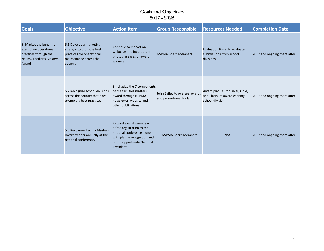| <b>Goals</b>                                                                                                           | <b>Objective</b>                                                                                                      | <b>Action Item</b>                                                                                                                                             | <b>Group Responsible</b>                               | <b>Resources Needed</b>                                                          | <b>Completion Date</b>       |
|------------------------------------------------------------------------------------------------------------------------|-----------------------------------------------------------------------------------------------------------------------|----------------------------------------------------------------------------------------------------------------------------------------------------------------|--------------------------------------------------------|----------------------------------------------------------------------------------|------------------------------|
| 5) Market the benefit of<br>exemplary operational<br>practices through the<br><b>NSPMA Facilities Masters</b><br>Award | 5.1 Develop a marketing<br>strategy to promote best<br>practices for operational<br>maintenance across the<br>country | Continue to market on<br>webpage and incorporate<br>photos releases of award<br>winners                                                                        | <b>NSPMA Board Members</b>                             | <b>Evaluation Panel to evaluate</b><br>submissions from school<br>divisions      | 2017 and ongoing there after |
|                                                                                                                        | 5.2 Recognize school divisions<br>across the country that have<br>exemplary best practices                            | Emphasize the 7 components<br>of the facilities masters<br>award through NSPMA<br>newsletter, website and<br>other publications                                | John Bailey to oversee awards<br>and promotional tools | Award plaques for Silver, Gold,<br>and Platinum award winning<br>school division | 2017 and ongoing there after |
|                                                                                                                        | 5.3 Recognize Facility Masters<br>Award winner annually at the<br>national conference.                                | Reward award winners with<br>a free registration to the<br>national conference along<br>with plaque recognition and<br>photo opportunity National<br>President | <b>NSPMA Board Members</b>                             | N/A                                                                              | 2017 and ongoing there after |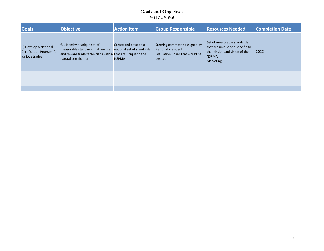| <b>Goals</b>                                                         | Objective                                                                                                                                                                          | <b>Action Item</b>                   | <b>Group Responsible</b>                                                                                  | <b>Resources Needed</b>                                                                                                             | <b>Completion Date</b> |
|----------------------------------------------------------------------|------------------------------------------------------------------------------------------------------------------------------------------------------------------------------------|--------------------------------------|-----------------------------------------------------------------------------------------------------------|-------------------------------------------------------------------------------------------------------------------------------------|------------------------|
| 6) Develop a National<br>Certification Program for<br>various trades | 6.1 Identify a unique set of<br>measurable standards that are met national set of standards<br>and reward trade technicians with a that are unique to the<br>natural certification | Create and develop a<br><b>NSPMA</b> | Steering committee assigned by<br><b>National President.</b><br>Evaluation Board that would be<br>created | Set of measurable standards<br>that are unique and specific to<br>the mission and vision of the<br><b>NSPMA</b><br><b>Marketing</b> | 2022                   |
|                                                                      |                                                                                                                                                                                    |                                      |                                                                                                           |                                                                                                                                     |                        |